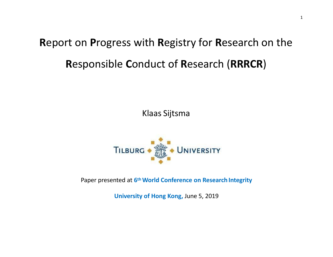# **R**eport on **P**rogress with **R**egistry for **R**esearch on the **R**esponsible **C**onduct of **R**esearch (**RRRCR**)

Klaas Sijtsma



Paper presented at **6thWorld Conference on Research Integrity**

**University of Hong Kong,** June 5, 2019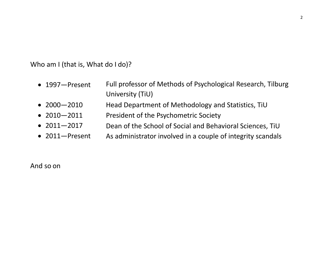Who am I (that is, What do I do)?

- 1997—Present Full professor of Methods of Psychological Research, Tilburg University (TiU)
- 2000—2010Head Department of Methodology and Statistics, TiU
- 2010—2011 President of the Psychometric Society
- 2011—2017 Dean of the School of Social and Behavioral Sciences, TiU
- 2011—Present As administrator involved in <sup>a</sup> couple of integrity scandals

And so on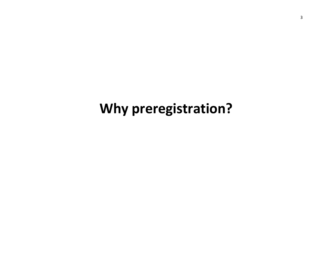# **Why preregistration?**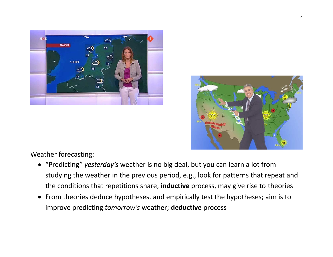



Weather forecasting:

- "Predicting" *yesterday's* weather is no big deal, but you can learn <sup>a</sup> lot from studying the weather in the previous period, e.g., look for patterns that repeat and the conditions that repetitions share; **inductive** process, may give rise to theories
- From theories deduce hypotheses, and empirically test the hypotheses; aim is to improve predicting *tomorrow's* weather; **deductive** process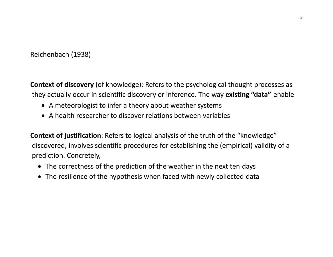### Reichenbach (1938)

**Context of discovery** (of knowledge): Refers to the psychological thought processes as they actually occur in scientific discovery or inference. The way **existing "data"** enable

- A meteorologist to infer <sup>a</sup> theory about weather systems
- A health researcher to discover relations between variables

**Context of justification**: Refers to logical analysis of the truth of the "knowledge" discovered, involves scientific procedures for establishing the (empirical) validity of <sup>a</sup> prediction. Concretely,

- The correctness of the prediction of the weather in the next ten days
- The resilience of the hypothesis when faced with newly collected data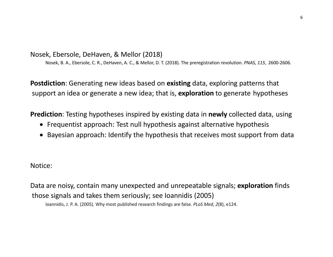Nosek, Ebersole, DeHaven, & Mellor (2018)

Nosek, B. A., Ebersole, C. R., DeHaven, A. C., & Mellor, D. T. (2018). The preregistration revolution. *PNAS*, *115*, 2600‐2606.

**Postdiction**: Generating new ideas based on **existing** data, exploring patterns that support an idea or generate <sup>a</sup> new idea; that is, **exploration** to generate hypotheses

**Prediction**: Testing hypotheses inspired by existing data in **newly** collected data, using

- Frequentist approach: Test null hypothesis against alternative hypothesis
- Bayesian approach: Identify the hypothesis that receives most support from data

Notice:

Data are noisy, contain many unexpected and unrepeatable signals; **exploration** finds those signals and takes them seriously; see Ioannidis (2005)

Ioannidis, J. P. A. (2005). Why most published research findings are false. *PLoS Med*, *2*(8), e124.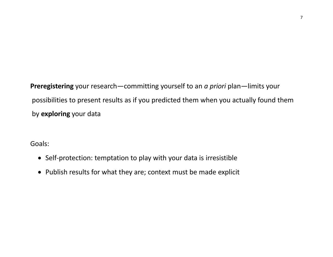**Preregistering** your research—committing yourself to an *<sup>a</sup> priori* plan—limits your possibilities to present results as if you predicted them when you actually found them by **exploring** your data

Goals:

- Self-protection: temptation to play with your data is irresistible
- Publish results for what they are; context must be made explicit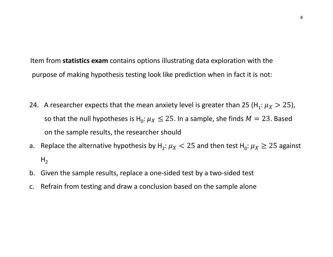Item from **statistics exam** contains options illustrating data exploration with the purpose of making hypothesis testing look like prediction when in fact it is not:

- 24. A researcher expects that the mean anxiety level is greater than 25 (H<sub>1</sub>:  $\mu_X > 25$ ), so that the null hypotheses is H<sub>0</sub>:  $\mu_X \leq 25$ . In a sample, she finds  $M = 23$ . Based on the sample results, the researcher should
- a. Replace the alternative hypothesis by H<sub>2</sub>:  $\mu_X$  < 25 and then test H<sub>0</sub>:  $\mu_X \ge 25$  against  $H<sub>2</sub>$
- b. Given the sample results, replace <sup>a</sup> one‐sided test by <sup>a</sup> two‐sided test
- c. Refrain from testing and draw <sup>a</sup> conclusion based on the sample alone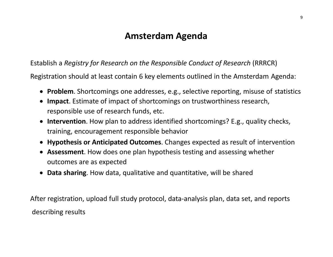## **Amsterdam Agenda**

### Establish <sup>a</sup> *Registry for Research on the Responsible Conduct of Research* (RRRCR)

Registration should at least contain 6 key elements outlined in the Amsterdam Agenda:

- **Problem**. Shortcomings one addresses, e.g., selective reporting, misuse of statistics
- **Impact**. Estimate of impact of shortcomings on trustworthiness research, responsible use of research funds, etc.
- **Intervention**. How plan to address identified shortcomings? E.g., quality checks, training, encouragement responsible behavior
- **Hypothesis or Anticipated Outcomes**. Changes expected as result of intervention
- **Assessment**. How does one plan hypothesis testing and assessing whether outcomes are as expected
- **Data sharing**. How data, qualitative and quantitative, will be shared

After registration, upload full study protocol, data‐analysis plan, data set, and reports describing results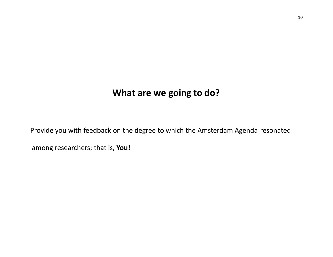## **What are we going to do?**

Provide you with feedback on the degree to which the Amsterdam Agenda resonated

among researchers; that is, **You!**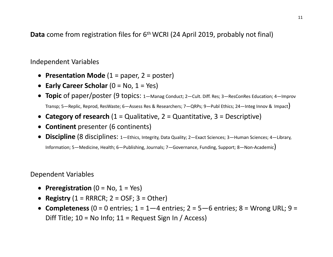**Data** come from registration files for 6<sup>th</sup> WCRI (24 April 2019, probably not final)

#### Independent Variables

- **Presentation Mode** (1 <sup>=</sup> paper, 2 <sup>=</sup> poster)
- **Early Career Scholar** (0 <sup>=</sup> No, 1 <sup>=</sup> Yes)
- **Topic** of paper/poster (9 topics: 1—Manag Conduct; 2—Cult. Diff. Res; 3—ResConRes Education; 4—Improv Transp; 5—Replic, Reprod, ResWaste; 6—Assess Res & Researchers; 7—QRPs; 9—Publ Ethics; 24—Integ Innov & Impact)
- **Category of research** (1 <sup>=</sup> Qualitative, 2 <sup>=</sup> Quantitative, 3 <sup>=</sup> Descriptive)
- **Continent** presenter (6 continents)
- **Discipline** (8 disciplines: 1—Ethics, Integrity, Data Quality; 2—Exact Sciences; 3—Human Sciences; 4—Library, Information; 5—Medicine, Health; 6—Publishing, Journals; 7—Governance, Funding, Support; 8—Non‐Academic)

Dependent Variables

- **Preregistration** (0 <sup>=</sup> No, 1 <sup>=</sup> Yes)
- **Registry** (1 <sup>=</sup> RRRCR; 2 <sup>=</sup> OSF; 3 <sup>=</sup> Other)
- **Completeness** (0 <sup>=</sup> 0 entries; 1 <sup>=</sup> 1—4 entries; 2 <sup>=</sup> 5—6 entries; 8 <sup>=</sup> Wrong URL; 9 <sup>=</sup> Diff Title; 10 <sup>=</sup> No Info; 11 <sup>=</sup> Request Sign In / Access)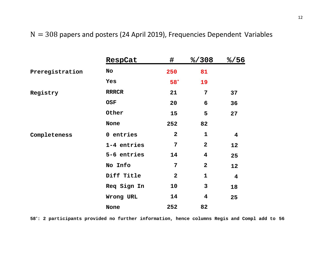### $N = 308$  papers and posters (24 April 2019), Frequencies Dependent Variables

|                 | RespCat      | #                       | 8/308                   | 8/56                    |
|-----------------|--------------|-------------------------|-------------------------|-------------------------|
| Preregistration | No           | 250                     | 81                      |                         |
|                 | Yes          | $58*$                   | 19                      |                         |
| Registry        | <b>RRRCR</b> | 21                      | 7                       | 37                      |
|                 | <b>OSF</b>   | 20                      | 6                       | 36                      |
|                 | Other        | 15                      | 5                       | 27                      |
|                 | None         | 252                     | 82                      |                         |
| Completeness    | 0 entries    | $\mathbf{2}$            | $\mathbf 1$             | $\overline{\mathbf{4}}$ |
|                 | 1-4 entries  | $7\phantom{.}$          | $\mathbf{2}$            | 12                      |
|                 | 5-6 entries  | 14                      | $\overline{\mathbf{4}}$ | 25                      |
|                 | No Info      | $7\phantom{.}$          | $\overline{2}$          | 12                      |
|                 | Diff Title   | $\overline{\mathbf{2}}$ | $\mathbf 1$             | $\overline{\mathbf{4}}$ |
|                 | Req Sign In  | 10                      | 3                       | 18                      |
|                 | Wrong URL    | 14                      | $\overline{\mathbf{4}}$ | 25                      |
|                 | None         | 252                     | 82                      |                         |

**58\*: 2 participants provided no further information, hence columns Regis and Compl add to 56**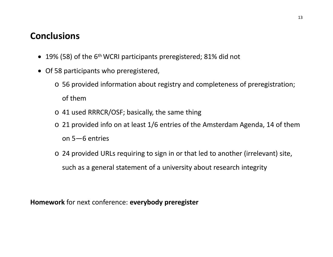## **Conclusions**

- 19% (58) of the 6<sup>th</sup> WCRI participants preregistered; 81% did not
- Of 58 participants who preregistered,
	- o 56 provided information about registry and completeness of preregistration; of them
	- o 41 used RRRCR/OSF; basically, the same thing
	- o 21 provided info on at least 1/6 entries of the Amsterdam Agenda, 14 of them on 5—6 entries
	- o 24 provided URLs requiring to sign in or that led to another (irrelevant) site, such as <sup>a</sup> general statement of <sup>a</sup> university about research integrity

**Homework** for next conference: **everybody preregister**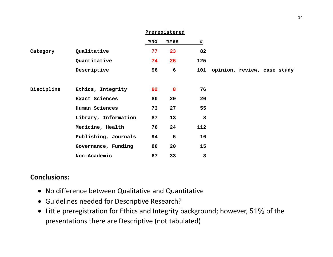|            |                      | Preregistered |      |      |                             |
|------------|----------------------|---------------|------|------|-----------------------------|
|            |                      | %No           | %Yes | $\#$ |                             |
| Category   | Qualitative          | 77            | 23   | 82   |                             |
|            | Quantitative         | 74            | 26   | 125  |                             |
|            | Descriptive          | 96            | 6    | 101  | opinion, review, case study |
|            |                      |               |      |      |                             |
| Discipline | Ethics, Integrity    | 92            | 8    | 76   |                             |
|            | Exact Sciences       | 80            | 20   | 20   |                             |
|            | Human Sciences       | 73            | 27   | 55   |                             |
|            | Library, Information | 87            | 13   | 8    |                             |
|            | Medicine, Health     | 76            | 24   | 112  |                             |
|            | Publishing, Journals | 94            | 6    | 16   |                             |
|            | Governance, Funding  | 80            | 20   | 15   |                             |
|            | Non-Academic         | 67            | 33   | 3    |                             |

#### **Conclusions:**

- No difference between Qualitative and Quantitative
- Guidelines needed for Descriptive Research?
- $\bullet~$  Little preregistration for Ethics and Integrity background; however,  $51\%$  of the presentations there are Descriptive (not tabulated)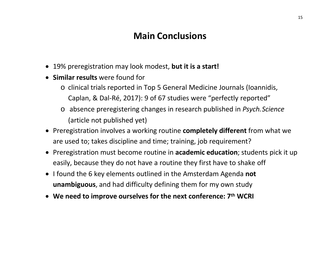## **Main Conclusions**

- 19% preregistration may look modest, **but it is <sup>a</sup> start!**
- **Similar results** were found for
	- o clinical trials reported in Top 5 General Medicine Journals (Ioannidis, Caplan, & Dal‐Ré, 2017): 9 of 67 studies were "perfectly reported"
	- o absence preregistering changes in research published in *Psych.Science* (article not published yet)
- Preregistration involves <sup>a</sup> working routine **completely different** from what we are used to; takes discipline and time; training, job requirement?
- Preregistration must become routine in **academic education**; students pick it up easily, because they do not have <sup>a</sup> routine they first have to shake off
- **•** I found the 6 key elements outlined in the Amsterdam Agenda not **unambiguous**, and had difficulty defining them for my own study
- **We need to improve ourselves for the next conference: 7th WCRI**